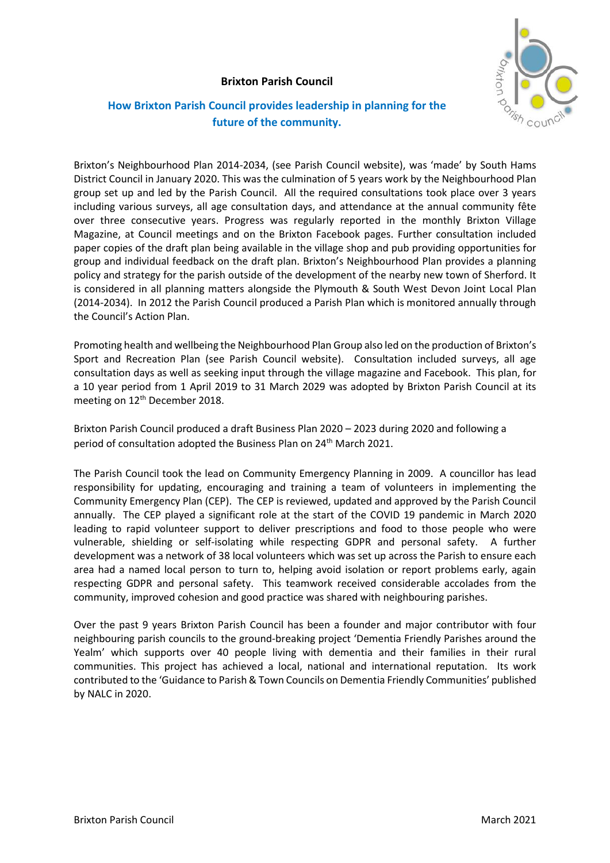## **Brixton Parish Council**



## **How Brixton Parish Council provides leadership in planning for the future of the community.**

Brixton's Neighbourhood Plan 2014-2034, (see Parish Council website), was 'made' by South Hams District Council in January 2020. This was the culmination of 5 years work by the Neighbourhood Plan group set up and led by the Parish Council. All the required consultations took place over 3 years including various surveys, all age consultation days, and attendance at the annual community fête over three consecutive years. Progress was regularly reported in the monthly Brixton Village Magazine, at Council meetings and on the Brixton Facebook pages. Further consultation included paper copies of the draft plan being available in the village shop and pub providing opportunities for group and individual feedback on the draft plan. Brixton's Neighbourhood Plan provides a planning policy and strategy for the parish outside of the development of the nearby new town of Sherford. It is considered in all planning matters alongside the Plymouth & South West Devon Joint Local Plan (2014-2034). In 2012 the Parish Council produced a Parish Plan which is monitored annually through the Council's Action Plan.

Promoting health and wellbeing the Neighbourhood Plan Group also led on the production of Brixton's Sport and Recreation Plan (see Parish Council website). Consultation included surveys, all age consultation days as well as seeking input through the village magazine and Facebook. This plan, for a 10 year period from 1 April 2019 to 31 March 2029 was adopted by Brixton Parish Council at its meeting on 12<sup>th</sup> December 2018.

Brixton Parish Council produced a draft Business Plan 2020 – 2023 during 2020 and following a period of consultation adopted the Business Plan on 24<sup>th</sup> March 2021.

The Parish Council took the lead on Community Emergency Planning in 2009. A councillor has lead responsibility for updating, encouraging and training a team of volunteers in implementing the Community Emergency Plan (CEP). The CEP is reviewed, updated and approved by the Parish Council annually. The CEP played a significant role at the start of the COVID 19 pandemic in March 2020 leading to rapid volunteer support to deliver prescriptions and food to those people who were vulnerable, shielding or self-isolating while respecting GDPR and personal safety. A further development was a network of 38 local volunteers which was set up across the Parish to ensure each area had a named local person to turn to, helping avoid isolation or report problems early, again respecting GDPR and personal safety. This teamwork received considerable accolades from the community, improved cohesion and good practice was shared with neighbouring parishes.

Over the past 9 years Brixton Parish Council has been a founder and major contributor with four neighbouring parish councils to the ground-breaking project 'Dementia Friendly Parishes around the Yealm' which supports over 40 people living with dementia and their families in their rural communities. This project has achieved a local, national and international reputation. Its work contributed to the 'Guidance to Parish & Town Councils on Dementia Friendly Communities' published by NALC in 2020.